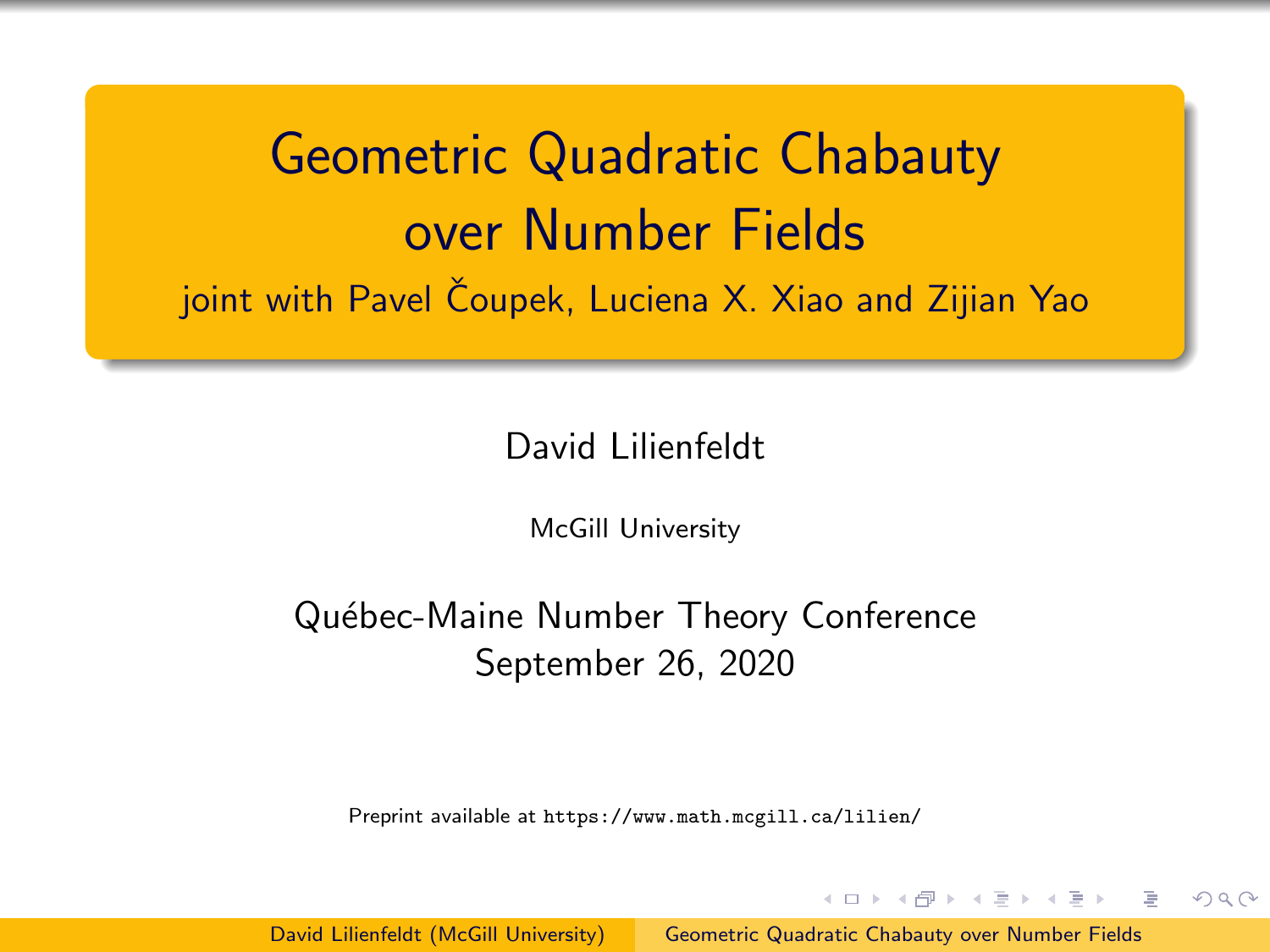<span id="page-0-0"></span>Geometric Quadratic Chabauty over Number Fields joint with Pavel Čoupek, Luciena X. Xiao and Zijian Yao

David Lilienfeldt

McGill University

Québec-Maine Number Theory Conference September 26, 2020

Preprint available at <https://www.math.mcgill.ca/lilien/>

David Lilienfeldt (McGill University) [Geometric Quadratic Chabauty over Number Fields](#page-7-0)

イロメ イ押メ イヨメ イヨメ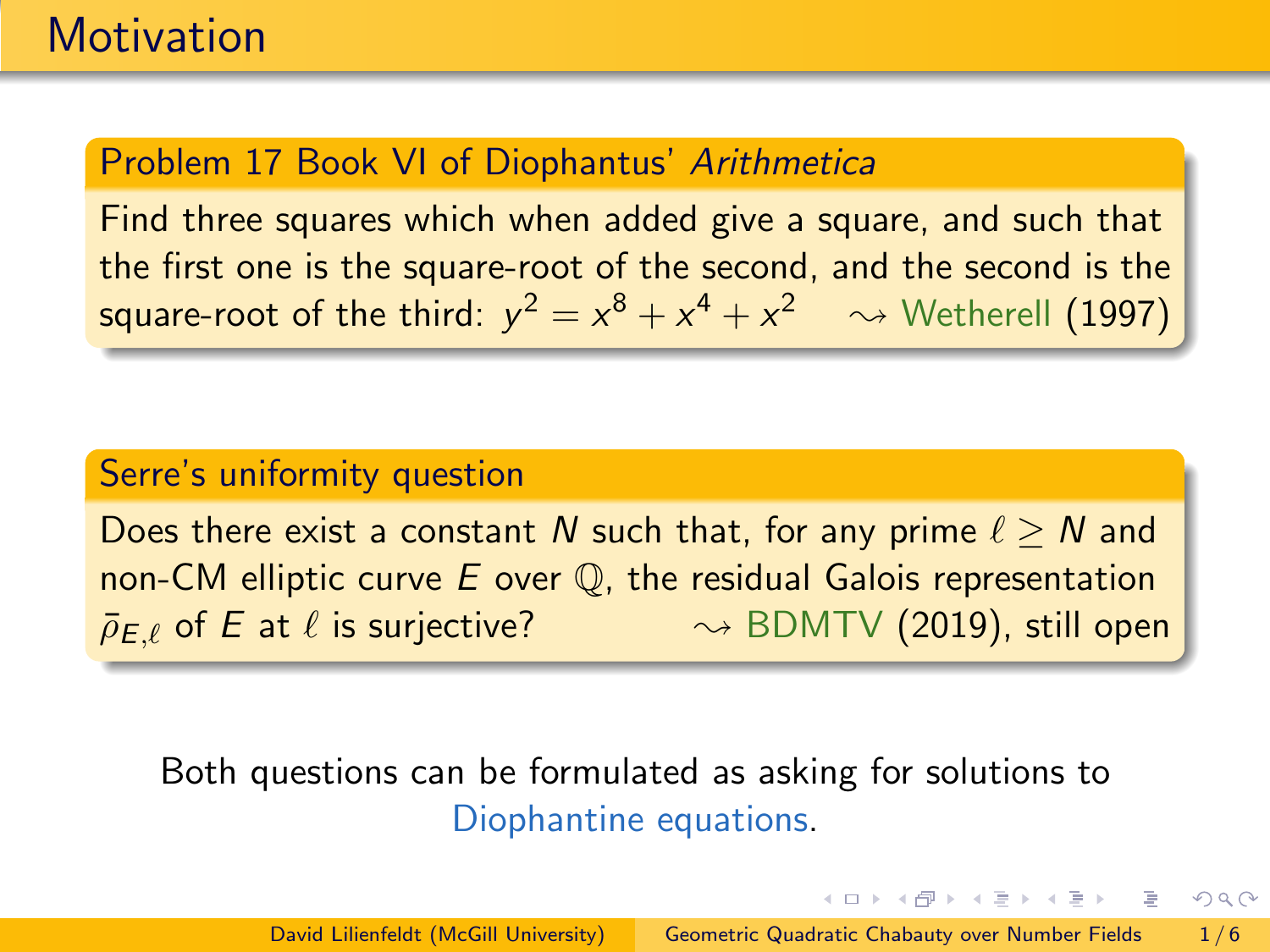## Problem 17 Book VI of Diophantus' Arithmetica

Find three squares which when added give a square, and such that the first one is the square-root of the second, and the second is the square-root of the third:  $y^2 = x^8 + x^4 + x^2 \quad \rightsquigarrow$  Wetherell (1997)

#### Serre's uniformity question

Does there exist a constant N such that, for any prime  $\ell > N$  and non-CM elliptic curve  $E$  over  $\mathbb Q$ , the residual Galois representation  $\bar{\rho}_{E,\ell}$  of E at  $\ell$  is surjective?  $\sim$  BDMTV (2019), still open

## Both questions can be formulated as asking for solutions to Diophantine equations.

イロメ イ何メ イヨメ イヨメーヨ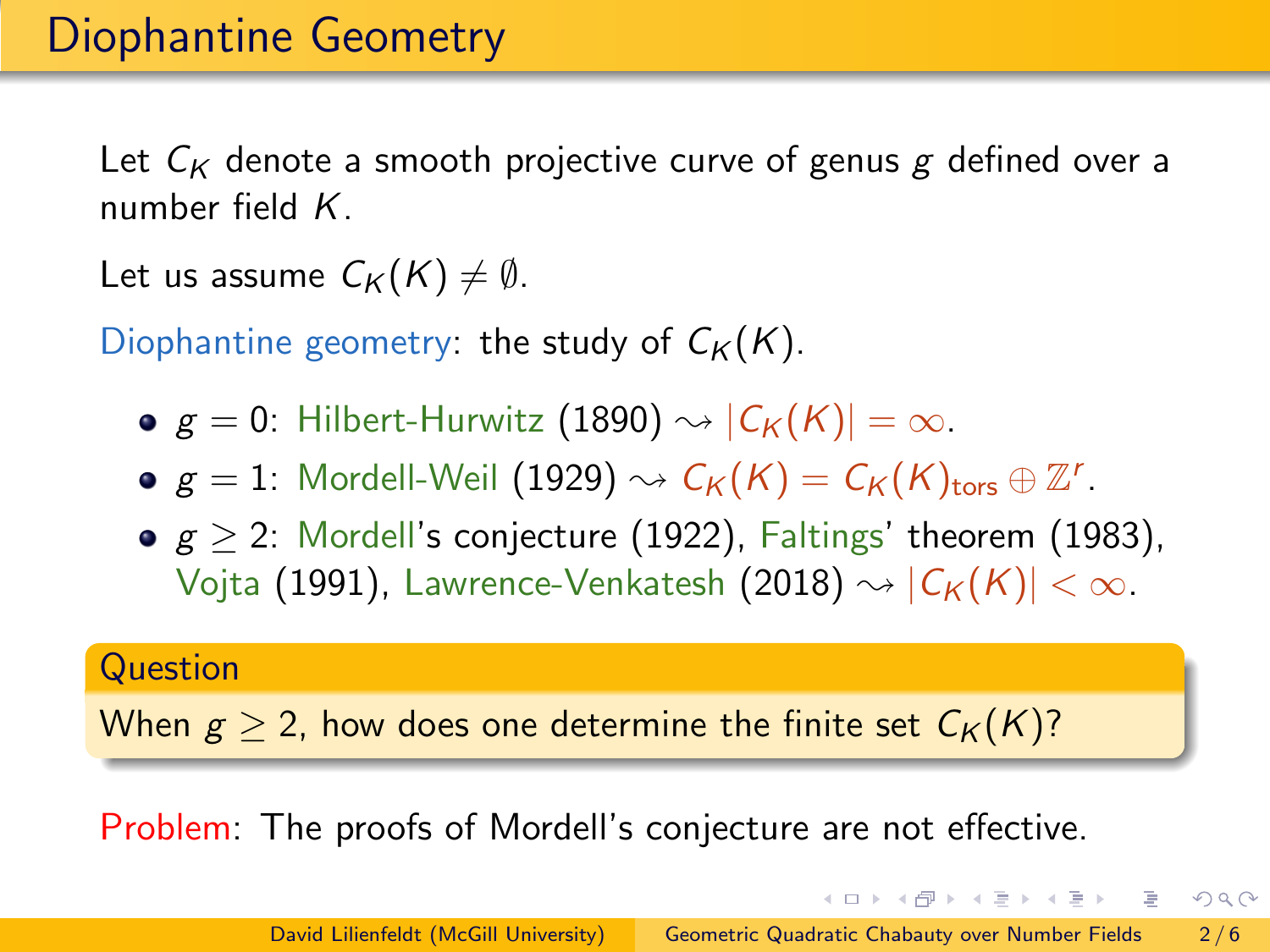Let  $C_K$  denote a smooth projective curve of genus g defined over a number field  $K$ .

Let us assume  $C_K(K) \neq \emptyset$ .

Diophantine geometry: the study of  $C_K(K)$ .

- $g = 0$ : Hilbert-Hurwitz (1890)  $\rightsquigarrow |C_K(K)| = \infty$ .
- $g=1$ : Mordell-Weil  $(1929) \rightsquigarrow \mathcal{C}_{\mathcal{K}}(K) = \mathcal{C}_{\mathcal{K}}(K)_{\text{tors}} \oplus \mathbb{Z}^r.$
- $g > 2$ : Mordell's conjecture (1922), Faltings' theorem (1983), Vojta (1991), Lawrence-Venkatesh (2018)  $\rightsquigarrow |C_K(K)| < \infty$ .

#### **Question**

When  $g > 2$ , how does one determine the finite set  $C_K(K)$ ?

Problem: The proofs of Mordell's conjecture are not effective.

イロン イ押ン イヨン イヨン 一重

 $OQ$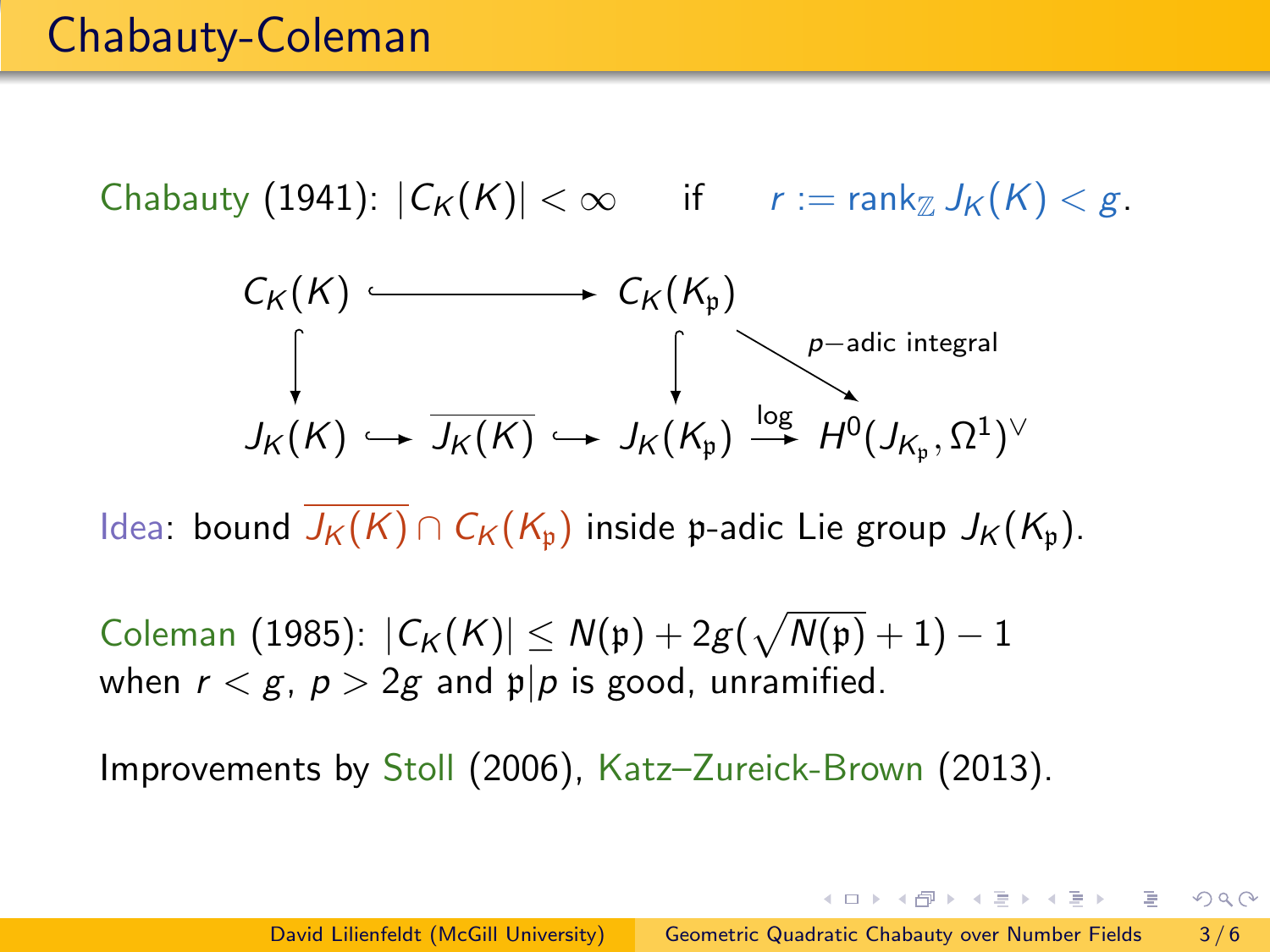Chabauty (1941):  $|C_K(K)| < \infty$  if  $r := \text{rank}_{\mathbb{Z}} J_K(K) < g$ .

$$
C_K(K) \longrightarrow C_K(K_p)
$$
\n
$$
\downarrow_{K(K)} \longrightarrow \downarrow_{K(K_p)} \longrightarrow \downarrow_{p-\text{adic integral}}
$$
\n
$$
J_K(K) \longrightarrow J_K(K_p) \longrightarrow J_K(K_p) \longrightarrow H^0(J_{K_p}, \Omega^1)^{\vee}
$$

Idea: bound  $J_K(K) \cap C_K(K_n)$  inside p-adic Lie group  $J_K(K_n)$ .

Coleman (1985):  $\left|\mathcal{C}_{\mathcal{K}}(K)\right|\leq \mathcal{N}(\mathfrak{p})+2g(\sqrt{\mathcal{N}(\mathfrak{p})}+1)-1$ when  $r < g$ ,  $p > 2g$  and  $p|p$  is good, unramified.

Improvements by Stoll (2006), Katz–Zureick-Brown (2013).

オロメ オタメ オミメ オミメーミー

 $OQ$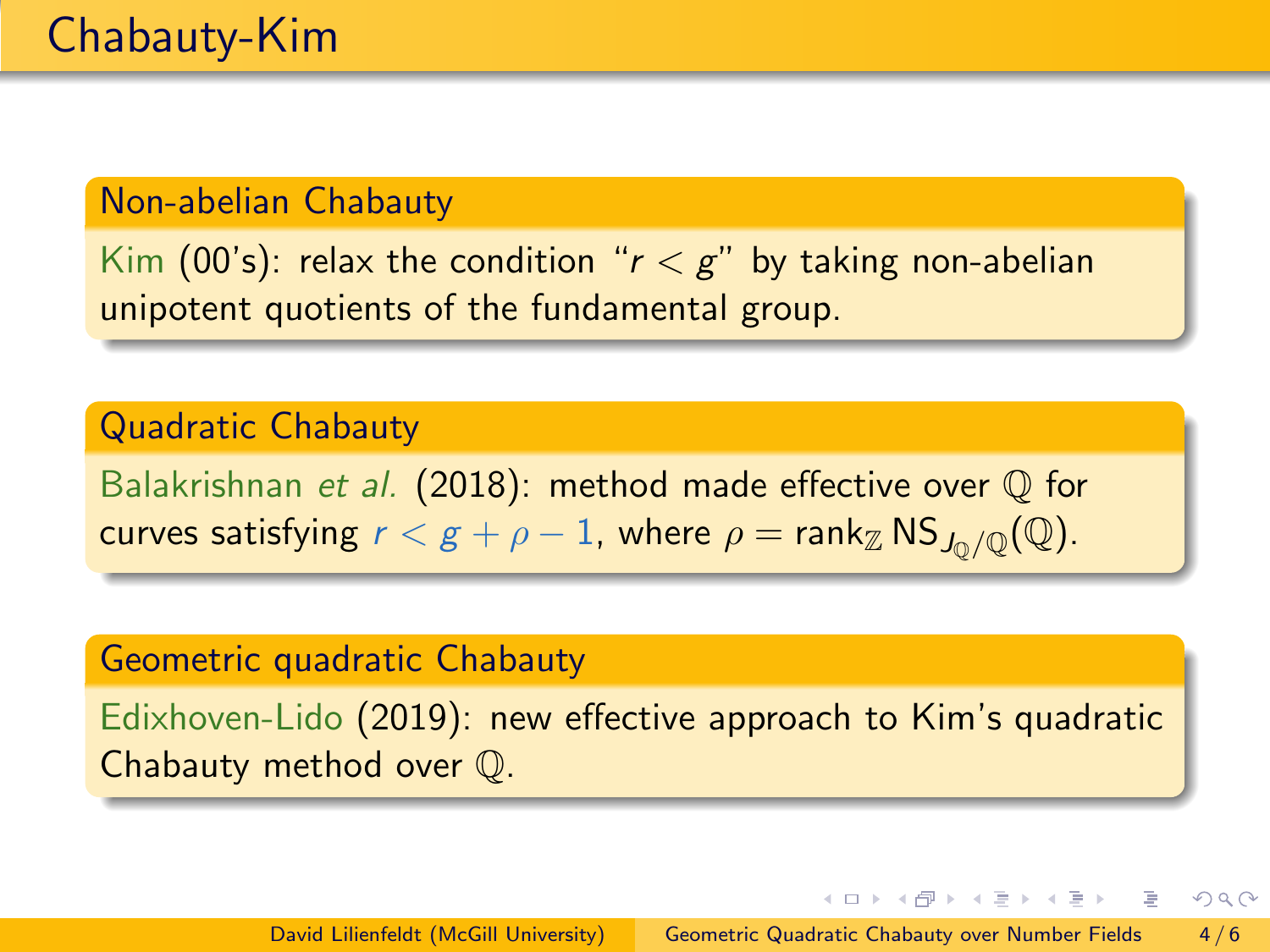#### Non-abelian Chabauty

Kim (00's): relax the condition " $r < g$ " by taking non-abelian unipotent quotients of the fundamental group.

### Quadratic Chabauty

Balakrishnan et al. (2018): method made effective over Q for curves satisfying  $r < g + \rho - 1$ , where  $\rho = \text{rank}_{\mathbb{Z}} NS_{J_0/\mathbb{Q}}(\mathbb{Q})$ .

#### Geometric quadratic Chabauty

Edixhoven-Lido (2019): new effective approach to Kim's quadratic Chabauty method over Q.

イロメ イ何 メイヨメ イヨメ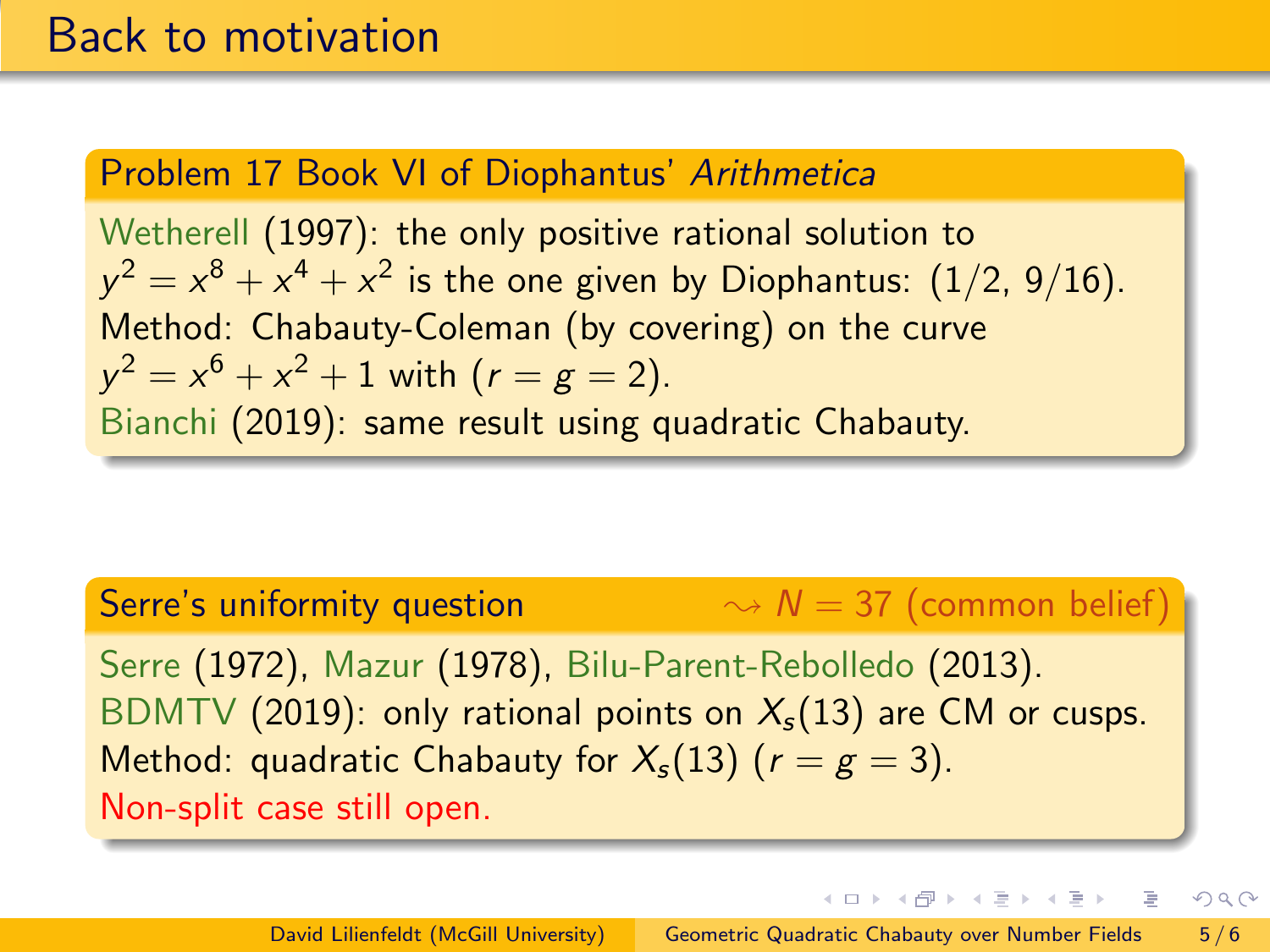### Problem 17 Book VI of Diophantus' Arithmetica

Wetherell (1997): the only positive rational solution to  $y^2 = x^8 + x^4 + x^2$  is the one given by Diophantus:  $(1/2,\,9/16).$ Method: Chabauty-Coleman (by covering) on the curve  $y^2 = x^6 + x^2 + 1$  with  $(r = g = 2)$ . Bianchi (2019): same result using quadratic Chabauty.

## Serre's uniformity question  $\rightsquigarrow N = 37$  (common belief) Serre (1972), Mazur (1978), Bilu-Parent-Rebolledo (2013). BDMTV (2019): only rational points on  $X_s(13)$  are CM or cusps. Method: quadratic Chabauty for  $X_s(13)$  ( $r = g = 3$ ). Non-split case still open.

イロメ イ何 メイヨメ イヨメ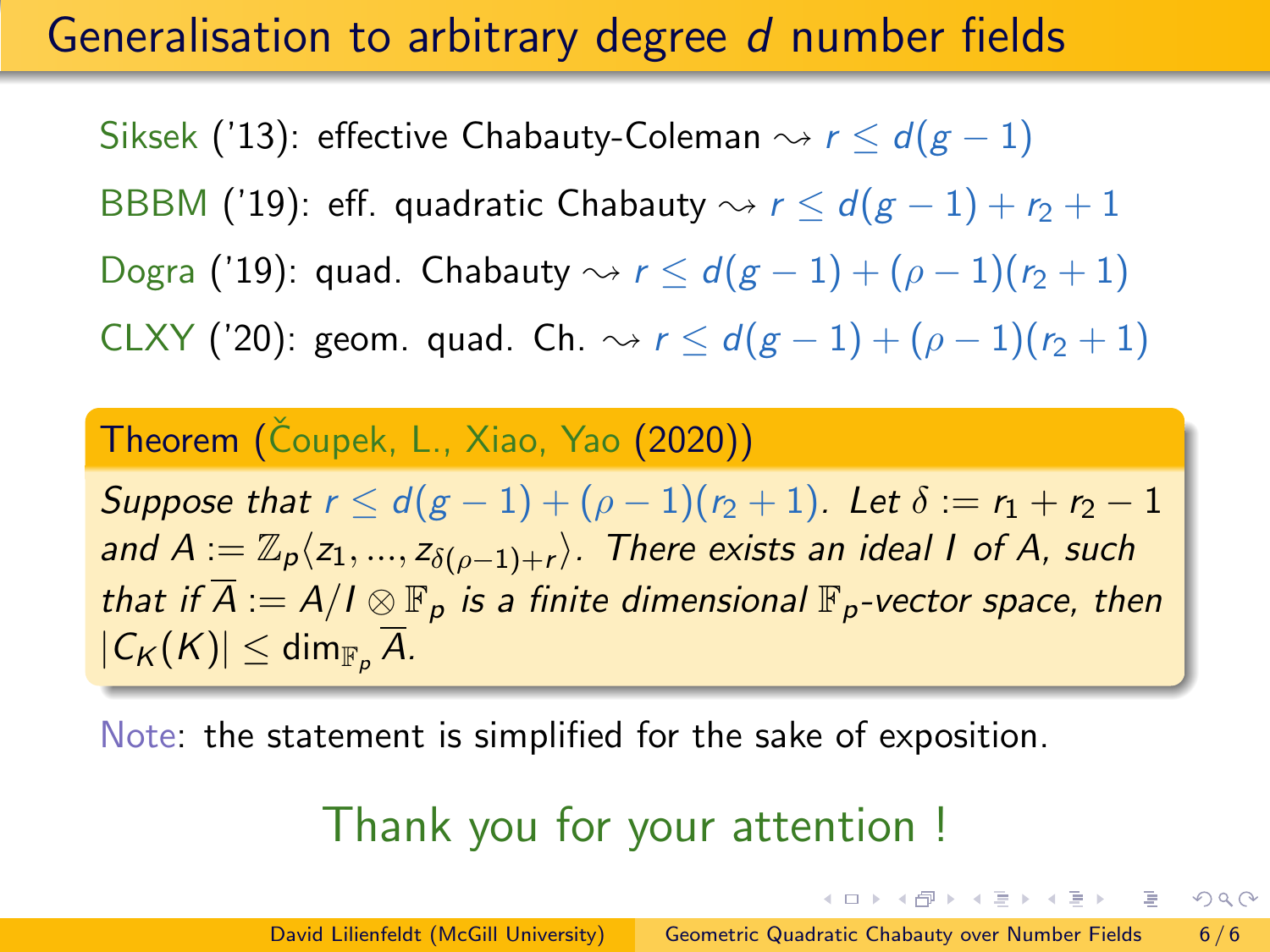## Generalisation to arbitrary degree d number fields

Siksek ('13): effective Chabauty-Coleman  $\rightsquigarrow r \leq d(g-1)$ BBBM ('19): eff. quadratic Chabauty  $\rightsquigarrow r < d(g-1) + r_2 + 1$ Dogra ('19): quad. Chabauty  $\rightsquigarrow r \leq d(g-1) + (\rho-1)(r_2+1)$ CLXY ('20): geom. quad. Ch.  $\rightsquigarrow$   $r \leq d(g-1) + (\rho-1)(r_2+1)$ 

## Theorem (Čoupek, L., Xiao, Yao (2020))

Suppose that  $r \le d(g-1) + (\rho - 1)(r_2 + 1)$ . Let  $\delta := r_1 + r_2 - 1$ and  $A:=\mathbb{Z}_p\langle z_1,...,z_{\delta(\rho-1)+r}\rangle.$  There exists an ideal I of A, such that if  $A := A/I \otimes \mathbb{F}_p$  is a finite dimensional  $\mathbb{F}_p$ -vector space, then  $|C_K(K)| \leq \dim_{\mathbb{F}_p} A$ .

Note: the statement is simplified for the sake of exposition.

## Thank you for your attention !

イロト イ押 トイラト イラト・ラ

 $QQ$